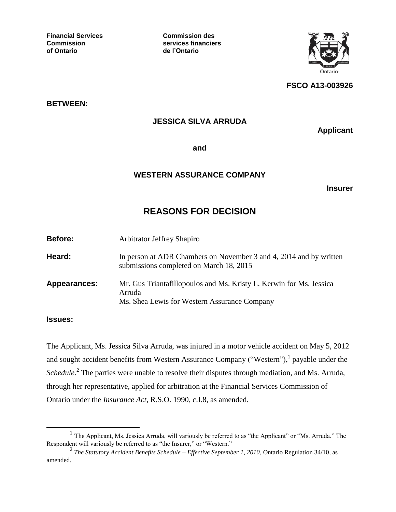**Financial Services Commission des**

**Commission services financiers of Ontario de l'Ontario**



**FSCO A13-003926**

**BETWEEN:**

## **JESSICA SILVA ARRUDA**

**Applicant**

**and**

## **WESTERN ASSURANCE COMPANY**

**Insurer**

## **REASONS FOR DECISION**

| Before:      | <b>Arbitrator Jeffrey Shapiro</b>                                                                                             |
|--------------|-------------------------------------------------------------------------------------------------------------------------------|
| Heard:       | In person at ADR Chambers on November 3 and 4, 2014 and by written<br>submissions completed on March 18, 2015                 |
| Appearances: | Mr. Gus Triantafillopoulos and Ms. Kristy L. Kerwin for Ms. Jessica<br>Arruda<br>Ms. Shea Lewis for Western Assurance Company |

## **Issues:**

 $\overline{a}$ 

The Applicant, Ms. Jessica Silva Arruda, was injured in a motor vehicle accident on May 5, 2012 and sought accident benefits from Western Assurance Company ("Western"),  $\frac{1}{1}$  payable under the Schedule.<sup>2</sup> The parties were unable to resolve their disputes through mediation, and Ms. Arruda, through her representative, applied for arbitration at the Financial Services Commission of Ontario under the *Insurance Act*, R.S.O. 1990, c.I.8, as amended.

<sup>&</sup>lt;sup>1</sup> The Applicant, Ms. Jessica Arruda, will variously be referred to as "the Applicant" or "Ms. Arruda." The Respondent will variously be referred to as "the Insurer," or "Western."

<sup>2</sup> *The Statutory Accident Benefits Schedule – Effective September 1, 2010*, Ontario Regulation 34/10, as amended.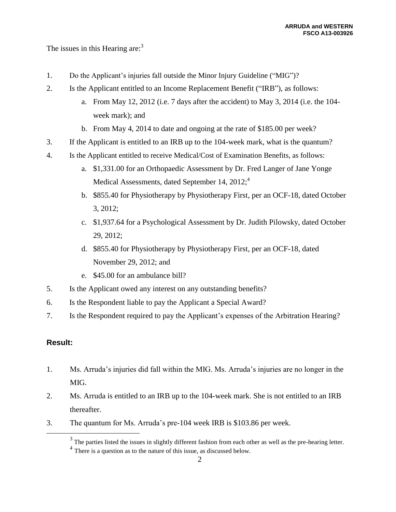The issues in this Hearing are:<sup>3</sup>

- 1. Do the Applicant's injuries fall outside the Minor Injury Guideline ("MIG")?
- 2. Is the Applicant entitled to an Income Replacement Benefit ("IRB"), as follows:
	- a. From May 12, 2012 (i.e. 7 days after the accident) to May 3, 2014 (i.e. the 104 week mark); and
	- b. From May 4, 2014 to date and ongoing at the rate of \$185.00 per week?
- 3. If the Applicant is entitled to an IRB up to the 104-week mark, what is the quantum?
- 4. Is the Applicant entitled to receive Medical/Cost of Examination Benefits, as follows:
	- a. \$1,331.00 for an Orthopaedic Assessment by Dr. Fred Langer of Jane Yonge Medical Assessments, dated September 14,  $2012$ ;<sup>4</sup>
	- b. \$855.40 for Physiotherapy by Physiotherapy First, per an OCF-18, dated October 3, 2012;
	- c. \$1,937.64 for a Psychological Assessment by Dr. Judith Pilowsky, dated October 29, 2012;
	- d. \$855.40 for Physiotherapy by Physiotherapy First, per an OCF-18, dated November 29, 2012; and
	- e. \$45.00 for an ambulance bill?
- 5. Is the Applicant owed any interest on any outstanding benefits?
- 6. Is the Respondent liable to pay the Applicant a Special Award?
- 7. Is the Respondent required to pay the Applicant's expenses of the Arbitration Hearing?

## **Result:**

- 1. Ms. Arruda's injuries did fall within the MIG. Ms. Arruda's injuries are no longer in the MIG.
- 2. Ms. Arruda is entitled to an IRB up to the 104-week mark. She is not entitled to an IRB thereafter.
- 3. The quantum for Ms. Arruda's pre-104 week IRB is \$103.86 per week.

 $3$  The parties listed the issues in slightly different fashion from each other as well as the pre-hearing letter.

<sup>&</sup>lt;sup>4</sup> There is a question as to the nature of this issue, as discussed below.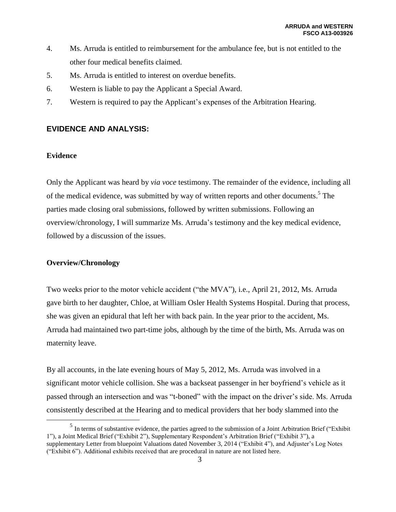- 4. Ms. Arruda is entitled to reimbursement for the ambulance fee, but is not entitled to the other four medical benefits claimed.
- 5. Ms. Arruda is entitled to interest on overdue benefits.
- 6. Western is liable to pay the Applicant a Special Award.
- 7. Western is required to pay the Applicant's expenses of the Arbitration Hearing.

## **EVIDENCE AND ANALYSIS:**

## **Evidence**

Only the Applicant was heard by *via voce* testimony. The remainder of the evidence, including all of the medical evidence, was submitted by way of written reports and other documents.<sup>5</sup> The parties made closing oral submissions, followed by written submissions. Following an overview/chronology, I will summarize Ms. Arruda's testimony and the key medical evidence, followed by a discussion of the issues.

## **Overview/Chronology**

 $\overline{a}$ 

Two weeks prior to the motor vehicle accident ("the MVA"), i.e., April 21, 2012, Ms. Arruda gave birth to her daughter, Chloe, at William Osler Health Systems Hospital. During that process, she was given an epidural that left her with back pain. In the year prior to the accident, Ms. Arruda had maintained two part-time jobs, although by the time of the birth, Ms. Arruda was on maternity leave.

By all accounts, in the late evening hours of May 5, 2012, Ms. Arruda was involved in a significant motor vehicle collision. She was a backseat passenger in her boyfriend's vehicle as it passed through an intersection and was "t-boned" with the impact on the driver's side. Ms. Arruda consistently described at the Hearing and to medical providers that her body slammed into the

 $<sup>5</sup>$  In terms of substantive evidence, the parties agreed to the submission of a Joint Arbitration Brief ("Exhibit")</sup> 1"), a Joint Medical Brief ("Exhibit 2"), Supplementary Respondent's Arbitration Brief ("Exhibit 3"), a supplementary Letter from bluepoint Valuations dated November 3, 2014 ("Exhibit 4"), and Adjuster's Log Notes ("Exhibit 6"). Additional exhibits received that are procedural in nature are not listed here.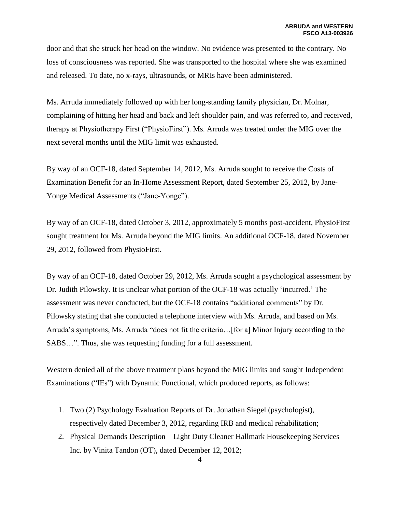door and that she struck her head on the window. No evidence was presented to the contrary. No loss of consciousness was reported. She was transported to the hospital where she was examined and released. To date, no x-rays, ultrasounds, or MRIs have been administered.

Ms. Arruda immediately followed up with her long-standing family physician, Dr. Molnar, complaining of hitting her head and back and left shoulder pain, and was referred to, and received, therapy at Physiotherapy First ("PhysioFirst"). Ms. Arruda was treated under the MIG over the next several months until the MIG limit was exhausted.

By way of an OCF-18, dated September 14, 2012, Ms. Arruda sought to receive the Costs of Examination Benefit for an In-Home Assessment Report, dated September 25, 2012, by Jane-Yonge Medical Assessments ("Jane-Yonge").

By way of an OCF-18, dated October 3, 2012, approximately 5 months post-accident, PhysioFirst sought treatment for Ms. Arruda beyond the MIG limits. An additional OCF-18, dated November 29, 2012, followed from PhysioFirst.

By way of an OCF-18, dated October 29, 2012, Ms. Arruda sought a psychological assessment by Dr. Judith Pilowsky. It is unclear what portion of the OCF-18 was actually 'incurred.' The assessment was never conducted, but the OCF-18 contains "additional comments" by Dr. Pilowsky stating that she conducted a telephone interview with Ms. Arruda, and based on Ms. Arruda's symptoms, Ms. Arruda "does not fit the criteria…[for a] Minor Injury according to the SABS…". Thus, she was requesting funding for a full assessment.

Western denied all of the above treatment plans beyond the MIG limits and sought Independent Examinations ("IEs") with Dynamic Functional, which produced reports, as follows:

- 1. Two (2) Psychology Evaluation Reports of Dr. Jonathan Siegel (psychologist), respectively dated December 3, 2012, regarding IRB and medical rehabilitation;
- 2. Physical Demands Description Light Duty Cleaner Hallmark Housekeeping Services Inc. by Vinita Tandon (OT), dated December 12, 2012;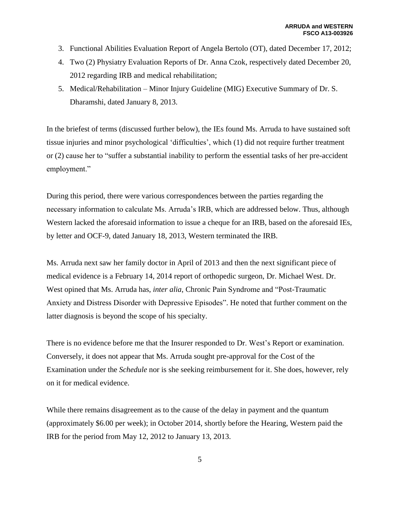- 3. Functional Abilities Evaluation Report of Angela Bertolo (OT), dated December 17, 2012;
- 4. Two (2) Physiatry Evaluation Reports of Dr. Anna Czok, respectively dated December 20, 2012 regarding IRB and medical rehabilitation;
- 5. Medical/Rehabilitation Minor Injury Guideline (MIG) Executive Summary of Dr. S. Dharamshi, dated January 8, 2013.

In the briefest of terms (discussed further below), the IEs found Ms. Arruda to have sustained soft tissue injuries and minor psychological 'difficulties', which (1) did not require further treatment or (2) cause her to "suffer a substantial inability to perform the essential tasks of her pre-accident employment."

During this period, there were various correspondences between the parties regarding the necessary information to calculate Ms. Arruda's IRB, which are addressed below. Thus, although Western lacked the aforesaid information to issue a cheque for an IRB, based on the aforesaid IEs, by letter and OCF-9, dated January 18, 2013, Western terminated the IRB.

Ms. Arruda next saw her family doctor in April of 2013 and then the next significant piece of medical evidence is a February 14, 2014 report of orthopedic surgeon, Dr. Michael West. Dr. West opined that Ms. Arruda has, *inter alia*, Chronic Pain Syndrome and "Post-Traumatic Anxiety and Distress Disorder with Depressive Episodes". He noted that further comment on the latter diagnosis is beyond the scope of his specialty.

There is no evidence before me that the Insurer responded to Dr. West's Report or examination. Conversely, it does not appear that Ms. Arruda sought pre-approval for the Cost of the Examination under the *Schedule* nor is she seeking reimbursement for it. She does, however, rely on it for medical evidence.

While there remains disagreement as to the cause of the delay in payment and the quantum (approximately \$6.00 per week); in October 2014, shortly before the Hearing, Western paid the IRB for the period from May 12, 2012 to January 13, 2013.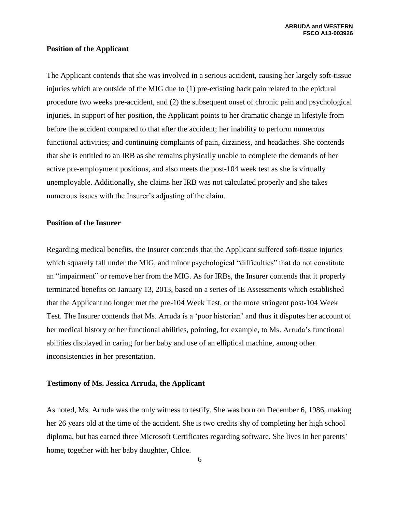### **Position of the Applicant**

The Applicant contends that she was involved in a serious accident, causing her largely soft-tissue injuries which are outside of the MIG due to (1) pre-existing back pain related to the epidural procedure two weeks pre-accident, and (2) the subsequent onset of chronic pain and psychological injuries. In support of her position, the Applicant points to her dramatic change in lifestyle from before the accident compared to that after the accident; her inability to perform numerous functional activities; and continuing complaints of pain, dizziness, and headaches. She contends that she is entitled to an IRB as she remains physically unable to complete the demands of her active pre-employment positions, and also meets the post-104 week test as she is virtually unemployable. Additionally, she claims her IRB was not calculated properly and she takes numerous issues with the Insurer's adjusting of the claim.

#### **Position of the Insurer**

Regarding medical benefits, the Insurer contends that the Applicant suffered soft-tissue injuries which squarely fall under the MIG, and minor psychological "difficulties" that do not constitute an "impairment" or remove her from the MIG. As for IRBs, the Insurer contends that it properly terminated benefits on January 13, 2013, based on a series of IE Assessments which established that the Applicant no longer met the pre-104 Week Test, or the more stringent post-104 Week Test. The Insurer contends that Ms. Arruda is a 'poor historian' and thus it disputes her account of her medical history or her functional abilities, pointing, for example, to Ms. Arruda's functional abilities displayed in caring for her baby and use of an elliptical machine, among other inconsistencies in her presentation.

### **Testimony of Ms. Jessica Arruda, the Applicant**

As noted, Ms. Arruda was the only witness to testify. She was born on December 6, 1986, making her 26 years old at the time of the accident. She is two credits shy of completing her high school diploma, but has earned three Microsoft Certificates regarding software. She lives in her parents' home, together with her baby daughter, Chloe.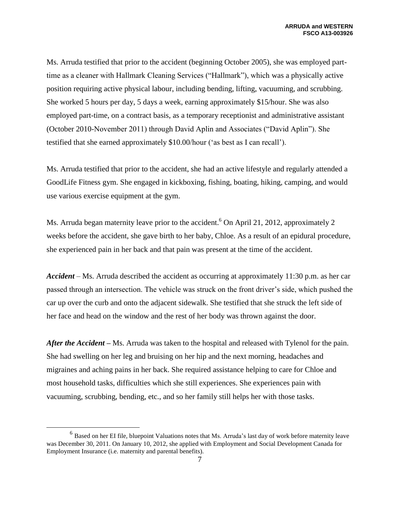Ms. Arruda testified that prior to the accident (beginning October 2005), she was employed parttime as a cleaner with Hallmark Cleaning Services ("Hallmark"), which was a physically active position requiring active physical labour, including bending, lifting, vacuuming, and scrubbing. She worked 5 hours per day, 5 days a week, earning approximately \$15/hour. She was also employed part-time, on a contract basis, as a temporary receptionist and administrative assistant (October 2010-November 2011) through David Aplin and Associates ("David Aplin"). She testified that she earned approximately \$10.00/hour ('as best as I can recall').

Ms. Arruda testified that prior to the accident, she had an active lifestyle and regularly attended a GoodLife Fitness gym. She engaged in kickboxing, fishing, boating, hiking, camping, and would use various exercise equipment at the gym.

Ms. Arruda began maternity leave prior to the accident.<sup>6</sup> On April 21, 2012, approximately 2 weeks before the accident, she gave birth to her baby, Chloe. As a result of an epidural procedure, she experienced pain in her back and that pain was present at the time of the accident.

*Accident* – Ms. Arruda described the accident as occurring at approximately 11:30 p.m. as her car passed through an intersection. The vehicle was struck on the front driver's side, which pushed the car up over the curb and onto the adjacent sidewalk. She testified that she struck the left side of her face and head on the window and the rest of her body was thrown against the door.

*After the Accident –* Ms. Arruda was taken to the hospital and released with Tylenol for the pain. She had swelling on her leg and bruising on her hip and the next morning, headaches and migraines and aching pains in her back. She required assistance helping to care for Chloe and most household tasks, difficulties which she still experiences. She experiences pain with vacuuming, scrubbing, bending, etc., and so her family still helps her with those tasks.

<sup>&</sup>lt;sup>6</sup> Based on her EI file, bluepoint Valuations notes that Ms. Arruda's last day of work before maternity leave was December 30, 2011. On January 10, 2012, she applied with Employment and Social Development Canada for Employment Insurance (i.e. maternity and parental benefits).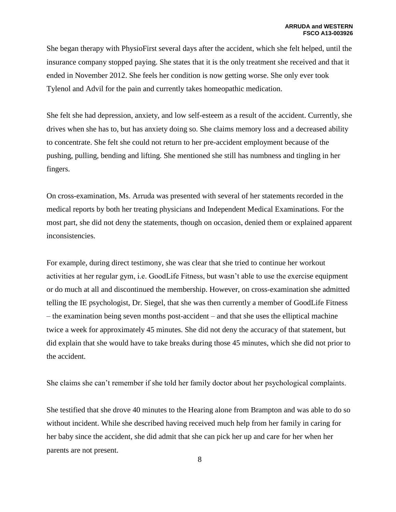She began therapy with PhysioFirst several days after the accident, which she felt helped, until the insurance company stopped paying. She states that it is the only treatment she received and that it ended in November 2012. She feels her condition is now getting worse. She only ever took Tylenol and Advil for the pain and currently takes homeopathic medication.

She felt she had depression, anxiety, and low self-esteem as a result of the accident. Currently, she drives when she has to, but has anxiety doing so. She claims memory loss and a decreased ability to concentrate. She felt she could not return to her pre-accident employment because of the pushing, pulling, bending and lifting. She mentioned she still has numbness and tingling in her fingers.

On cross-examination, Ms. Arruda was presented with several of her statements recorded in the medical reports by both her treating physicians and Independent Medical Examinations. For the most part, she did not deny the statements, though on occasion, denied them or explained apparent inconsistencies.

For example, during direct testimony, she was clear that she tried to continue her workout activities at her regular gym, i.e. GoodLife Fitness, but wasn't able to use the exercise equipment or do much at all and discontinued the membership. However, on cross-examination she admitted telling the IE psychologist, Dr. Siegel, that she was then currently a member of GoodLife Fitness – the examination being seven months post-accident – and that she uses the elliptical machine twice a week for approximately 45 minutes. She did not deny the accuracy of that statement, but did explain that she would have to take breaks during those 45 minutes, which she did not prior to the accident.

She claims she can't remember if she told her family doctor about her psychological complaints.

She testified that she drove 40 minutes to the Hearing alone from Brampton and was able to do so without incident. While she described having received much help from her family in caring for her baby since the accident, she did admit that she can pick her up and care for her when her parents are not present.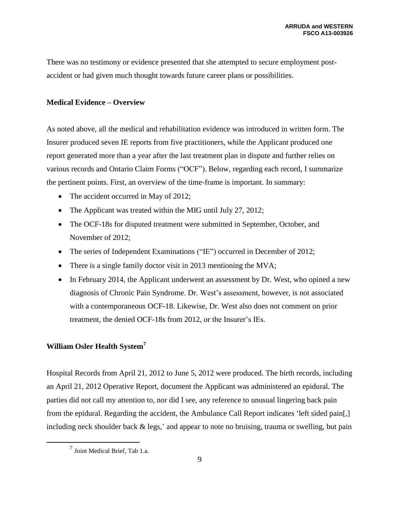There was no testimony or evidence presented that she attempted to secure employment postaccident or had given much thought towards future career plans or possibilities.

## **Medical Evidence – Overview**

As noted above, all the medical and rehabilitation evidence was introduced in written form. The Insurer produced seven IE reports from five practitioners, while the Applicant produced one report generated more than a year after the last treatment plan in dispute and further relies on various records and Ontario Claim Forms ("OCF"). Below, regarding each record, I summarize the pertinent points. First, an overview of the time-frame is important. In summary:

- The accident occurred in May of 2012;
- The Applicant was treated within the MIG until July 27, 2012;
- The OCF-18s for disputed treatment were submitted in September, October, and November of 2012;
- The series of Independent Examinations ("IE") occurred in December of 2012;
- There is a single family doctor visit in 2013 mentioning the MVA;
- In February 2014, the Applicant underwent an assessment by Dr. West, who opined a new diagnosis of Chronic Pain Syndrome. Dr. West's assessment, however, is not associated with a contemporaneous OCF-18. Likewise, Dr. West also does not comment on prior treatment, the denied OCF-18s from 2012, or the Insurer's IEs.

## **William Osler Health System<sup>7</sup>**

Hospital Records from April 21, 2012 to June 5, 2012 were produced. The birth records, including an April 21, 2012 Operative Report, document the Applicant was administered an epidural. The parties did not call my attention to, nor did I see, any reference to unusual lingering back pain from the epidural. Regarding the accident, the Ambulance Call Report indicates 'left sided pain[,] including neck shoulder back & legs,' and appear to note no bruising, trauma or swelling, but pain

 $^7$  Joint Medical Brief, Tab 1.a.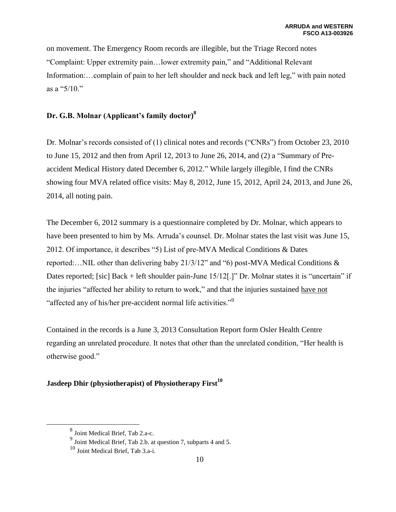on movement. The Emergency Room records are illegible, but the Triage Record notes "Complaint: Upper extremity pain…lower extremity pain," and "Additional Relevant Information:…complain of pain to her left shoulder and neck back and left leg," with pain noted as a "5/10."

## **Dr. G.B. Molnar (Applicant's family doctor)<sup>8</sup>**

Dr. Molnar's records consisted of (1) clinical notes and records ("CNRs") from October 23, 2010 to June 15, 2012 and then from April 12, 2013 to June 26, 2014, and (2) a "Summary of Preaccident Medical History dated December 6, 2012." While largely illegible, I find the CNRs showing four MVA related office visits: May 8, 2012, June 15, 2012, April 24, 2013, and June 26, 2014, all noting pain.

The December 6, 2012 summary is a questionnaire completed by Dr. Molnar, which appears to have been presented to him by Ms. Arruda's counsel. Dr. Molnar states the last visit was June 15, 2012. Of importance, it describes "5) List of pre-MVA Medical Conditions & Dates reported:…NIL other than delivering baby 21/3/12" and "6) post-MVA Medical Conditions & Dates reported; [sic] Back + left shoulder pain-June 15/12[.]" Dr. Molnar states it is "uncertain" if the injuries "affected her ability to return to work," and that the injuries sustained have not "affected any of his/her pre-accident normal life activities."<sup>9</sup>

Contained in the records is a June 3, 2013 Consultation Report form Osler Health Centre regarding an unrelated procedure. It notes that other than the unrelated condition, "Her health is otherwise good."

## **Jasdeep Dhir (physiotherapist) of Physiotherapy First<sup>10</sup>**

<sup>8</sup> Joint Medical Brief, Tab 2.a-c.

 $9$  Joint Medical Brief, Tab 2.b. at question 7, subparts 4 and 5.

<sup>10</sup> Joint Medical Brief, Tab 3.a-i.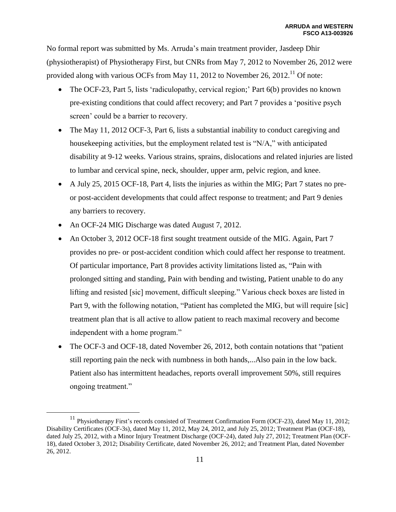No formal report was submitted by Ms. Arruda's main treatment provider, Jasdeep Dhir (physiotherapist) of Physiotherapy First, but CNRs from May 7, 2012 to November 26, 2012 were provided along with various OCFs from May 11, 2012 to November 26, 2012.<sup>11</sup> Of note:

- The OCF-23, Part 5, lists 'radiculopathy, cervical region;' Part 6(b) provides no known pre-existing conditions that could affect recovery; and Part 7 provides a 'positive psych screen' could be a barrier to recovery.
- The May 11, 2012 OCF-3, Part 6, lists a substantial inability to conduct caregiving and housekeeping activities, but the employment related test is "N/A," with anticipated disability at 9-12 weeks. Various strains, sprains, dislocations and related injuries are listed to lumbar and cervical spine, neck, shoulder, upper arm, pelvic region, and knee.
- A July 25, 2015 OCF-18, Part 4, lists the injuries as within the MIG; Part 7 states no preor post-accident developments that could affect response to treatment; and Part 9 denies any barriers to recovery.
- An OCF-24 MIG Discharge was dated August 7, 2012.

- An October 3, 2012 OCF-18 first sought treatment outside of the MIG. Again, Part 7 provides no pre- or post-accident condition which could affect her response to treatment. Of particular importance, Part 8 provides activity limitations listed as, "Pain with prolonged sitting and standing, Pain with bending and twisting, Patient unable to do any lifting and resisted [sic] movement, difficult sleeping." Various check boxes are listed in Part 9, with the following notation, "Patient has completed the MIG, but will require [sic] treatment plan that is all active to allow patient to reach maximal recovery and become independent with a home program."
- The OCF-3 and OCF-18, dated November 26, 2012, both contain notations that "patient still reporting pain the neck with numbness in both hands,...Also pain in the low back. Patient also has intermittent headaches, reports overall improvement 50%, still requires ongoing treatment."

<sup>&</sup>lt;sup>11</sup> Physiotherapy First's records consisted of Treatment Confirmation Form (OCF-23), dated May 11, 2012; Disability Certificates (OCF-3s), dated May 11, 2012, May 24, 2012, and July 25, 2012; Treatment Plan (OCF-18), dated July 25, 2012, with a Minor Injury Treatment Discharge (OCF-24), dated July 27, 2012; Treatment Plan (OCF-18), dated October 3, 2012; Disability Certificate, dated November 26, 2012; and Treatment Plan, dated November 26, 2012.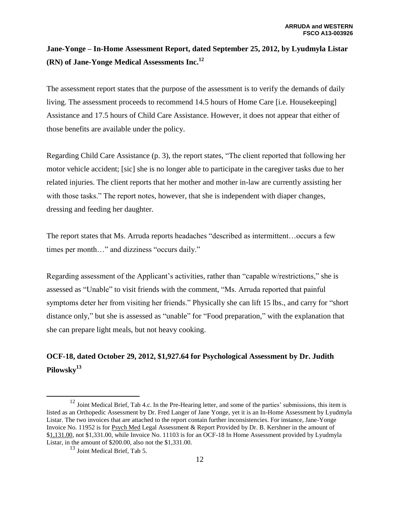# **Jane-Yonge – In-Home Assessment Report, dated September 25, 2012, by Lyudmyla Listar (RN) of Jane-Yonge Medical Assessments Inc.<sup>12</sup>**

The assessment report states that the purpose of the assessment is to verify the demands of daily living. The assessment proceeds to recommend 14.5 hours of Home Care [i.e. Housekeeping] Assistance and 17.5 hours of Child Care Assistance. However, it does not appear that either of those benefits are available under the policy.

Regarding Child Care Assistance (p. 3), the report states, "The client reported that following her motor vehicle accident; [sic] she is no longer able to participate in the caregiver tasks due to her related injuries. The client reports that her mother and mother in-law are currently assisting her with those tasks." The report notes, however, that she is independent with diaper changes, dressing and feeding her daughter.

The report states that Ms. Arruda reports headaches "described as intermittent…occurs a few times per month…" and dizziness "occurs daily."

Regarding assessment of the Applicant's activities, rather than "capable w/restrictions," she is assessed as "Unable" to visit friends with the comment, "Ms. Arruda reported that painful symptoms deter her from visiting her friends." Physically she can lift 15 lbs., and carry for "short distance only," but she is assessed as "unable" for "Food preparation," with the explanation that she can prepare light meals, but not heavy cooking.

## **OCF-18, dated October 29, 2012, \$1,927.64 for Psychological Assessment by Dr. Judith Pilowsky<sup>13</sup>**

<sup>&</sup>lt;sup>12</sup> Joint Medical Brief, Tab 4.c. In the Pre-Hearing letter, and some of the parties' submissions, this item is listed as an Orthopedic Assessment by Dr. Fred Langer of Jane Yonge, yet it is an In-Home Assessment by Lyudmyla Listar. The two invoices that are attached to the report contain further inconsistencies. For instance, Jane-Yonge Invoice No. 11952 is for Psych Med Legal Assessment & Report Provided by Dr. B. Kershner in the amount of \$1,131.00, not \$1,331.00, while Invoice No. 11103 is for an OCF-18 In Home Assessment provided by Lyudmyla Listar, in the amount of \$200.00, also not the \$1,331.00.

 $13$  Joint Medical Brief, Tab 5.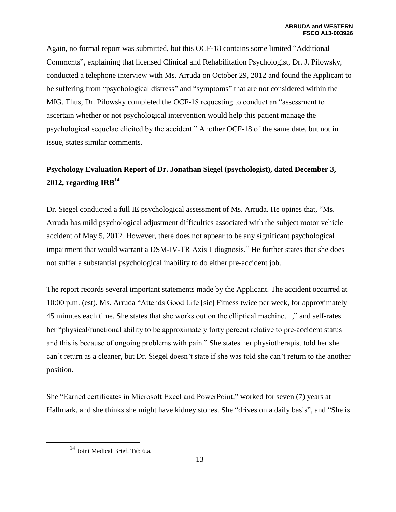Again, no formal report was submitted, but this OCF-18 contains some limited "Additional Comments", explaining that licensed Clinical and Rehabilitation Psychologist, Dr. J. Pilowsky, conducted a telephone interview with Ms. Arruda on October 29, 2012 and found the Applicant to be suffering from "psychological distress" and "symptoms" that are not considered within the MIG. Thus, Dr. Pilowsky completed the OCF-18 requesting to conduct an "assessment to ascertain whether or not psychological intervention would help this patient manage the psychological sequelae elicited by the accident." Another OCF-18 of the same date, but not in issue, states similar comments.

# **Psychology Evaluation Report of Dr. Jonathan Siegel (psychologist), dated December 3, 2012, regarding IRB<sup>14</sup>**

Dr. Siegel conducted a full IE psychological assessment of Ms. Arruda. He opines that, "Ms. Arruda has mild psychological adjustment difficulties associated with the subject motor vehicle accident of May 5, 2012. However, there does not appear to be any significant psychological impairment that would warrant a DSM-IV-TR Axis 1 diagnosis." He further states that she does not suffer a substantial psychological inability to do either pre-accident job.

The report records several important statements made by the Applicant. The accident occurred at 10:00 p.m. (est). Ms. Arruda "Attends Good Life [sic] Fitness twice per week, for approximately 45 minutes each time. She states that she works out on the elliptical machine…," and self-rates her "physical/functional ability to be approximately forty percent relative to pre-accident status and this is because of ongoing problems with pain." She states her physiotherapist told her she can't return as a cleaner, but Dr. Siegel doesn't state if she was told she can't return to the another position.

She "Earned certificates in Microsoft Excel and PowerPoint," worked for seven (7) years at Hallmark, and she thinks she might have kidney stones. She "drives on a daily basis", and "She is

<sup>14</sup> Joint Medical Brief, Tab 6.a.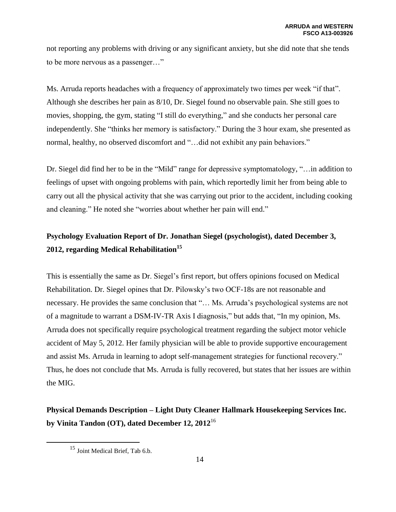not reporting any problems with driving or any significant anxiety, but she did note that she tends to be more nervous as a passenger…"

Ms. Arruda reports headaches with a frequency of approximately two times per week "if that". Although she describes her pain as 8/10, Dr. Siegel found no observable pain. She still goes to movies, shopping, the gym, stating "I still do everything," and she conducts her personal care independently. She "thinks her memory is satisfactory." During the 3 hour exam, she presented as normal, healthy, no observed discomfort and "…did not exhibit any pain behaviors."

Dr. Siegel did find her to be in the "Mild" range for depressive symptomatology, "…in addition to feelings of upset with ongoing problems with pain, which reportedly limit her from being able to carry out all the physical activity that she was carrying out prior to the accident, including cooking and cleaning." He noted she "worries about whether her pain will end."

# **Psychology Evaluation Report of Dr. Jonathan Siegel (psychologist), dated December 3, 2012, regarding Medical Rehabilitation<sup>15</sup>**

This is essentially the same as Dr. Siegel's first report, but offers opinions focused on Medical Rehabilitation. Dr. Siegel opines that Dr. Pilowsky's two OCF-18s are not reasonable and necessary. He provides the same conclusion that "… Ms. Arruda's psychological systems are not of a magnitude to warrant a DSM-IV-TR Axis I diagnosis," but adds that, "In my opinion, Ms. Arruda does not specifically require psychological treatment regarding the subject motor vehicle accident of May 5, 2012. Her family physician will be able to provide supportive encouragement and assist Ms. Arruda in learning to adopt self-management strategies for functional recovery." Thus, he does not conclude that Ms. Arruda is fully recovered, but states that her issues are within the MIG.

# **Physical Demands Description – Light Duty Cleaner Hallmark Housekeeping Services Inc. by Vinita Tandon (OT), dated December 12, 2012**<sup>16</sup>

<sup>&</sup>lt;sup>15</sup> Joint Medical Brief, Tab 6.b.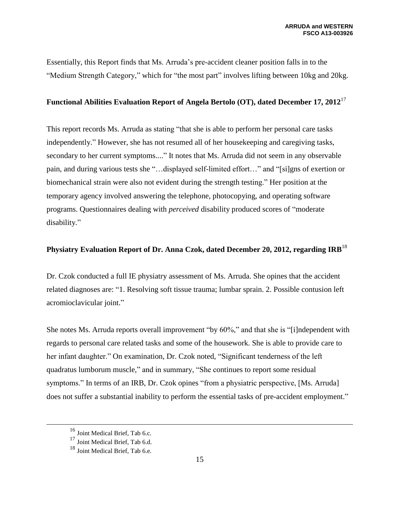Essentially, this Report finds that Ms. Arruda's pre-accident cleaner position falls in to the "Medium Strength Category," which for "the most part" involves lifting between 10kg and 20kg.

## **Functional Abilities Evaluation Report of Angela Bertolo (OT), dated December 17, 2012**<sup>17</sup>

This report records Ms. Arruda as stating "that she is able to perform her personal care tasks independently." However, she has not resumed all of her housekeeping and caregiving tasks, secondary to her current symptoms...." It notes that Ms. Arruda did not seem in any observable pain, and during various tests she "…displayed self-limited effort…" and "[si]gns of exertion or biomechanical strain were also not evident during the strength testing." Her position at the temporary agency involved answering the telephone, photocopying, and operating software programs. Questionnaires dealing with *perceived* disability produced scores of "moderate disability."

## **Physiatry Evaluation Report of Dr. Anna Czok, dated December 20, 2012, regarding IRB**<sup>18</sup>

Dr. Czok conducted a full IE physiatry assessment of Ms. Arruda. She opines that the accident related diagnoses are: "1. Resolving soft tissue trauma; lumbar sprain. 2. Possible contusion left acromioclavicular joint."

She notes Ms. Arruda reports overall improvement "by 60%," and that she is "[i]ndependent with regards to personal care related tasks and some of the housework. She is able to provide care to her infant daughter." On examination, Dr. Czok noted, "Significant tenderness of the left quadratus lumborum muscle," and in summary, "She continues to report some residual symptoms." In terms of an IRB, Dr. Czok opines "from a physiatric perspective, [Ms. Arruda] does not suffer a substantial inability to perform the essential tasks of pre-accident employment."

<sup>16</sup> Joint Medical Brief, Tab 6.c.

<sup>&</sup>lt;sup>17</sup> Joint Medical Brief, Tab 6.d.

<sup>18</sup> Joint Medical Brief, Tab 6.e.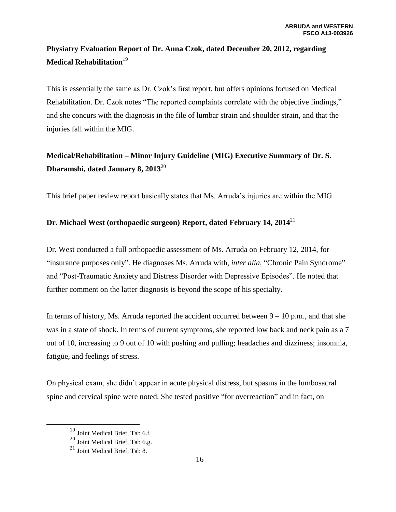# **Physiatry Evaluation Report of Dr. Anna Czok, dated December 20, 2012, regarding Medical Rehabilitation**<sup>19</sup>

This is essentially the same as Dr. Czok's first report, but offers opinions focused on Medical Rehabilitation. Dr. Czok notes "The reported complaints correlate with the objective findings," and she concurs with the diagnosis in the file of lumbar strain and shoulder strain, and that the injuries fall within the MIG.

# **Medical/Rehabilitation – Minor Injury Guideline (MIG) Executive Summary of Dr. S. Dharamshi, dated January 8, 2013**<sup>20</sup>

This brief paper review report basically states that Ms. Arruda's injuries are within the MIG.

## **Dr. Michael West (orthopaedic surgeon) Report, dated February 14, 2014**<sup>21</sup>

Dr. West conducted a full orthopaedic assessment of Ms. Arruda on February 12, 2014, for "insurance purposes only". He diagnoses Ms. Arruda with, *inter alia*, "Chronic Pain Syndrome" and "Post-Traumatic Anxiety and Distress Disorder with Depressive Episodes". He noted that further comment on the latter diagnosis is beyond the scope of his specialty.

In terms of history, Ms. Arruda reported the accident occurred between  $9 - 10$  p.m., and that she was in a state of shock. In terms of current symptoms, she reported low back and neck pain as a 7 out of 10, increasing to 9 out of 10 with pushing and pulling; headaches and dizziness; insomnia, fatigue, and feelings of stress.

On physical exam, she didn't appear in acute physical distress, but spasms in the lumbosacral spine and cervical spine were noted. She tested positive "for overreaction" and in fact, on

<sup>19</sup> Joint Medical Brief, Tab 6.f.

<sup>20</sup> Joint Medical Brief, Tab 6.g.

<sup>21</sup> Joint Medical Brief, Tab 8.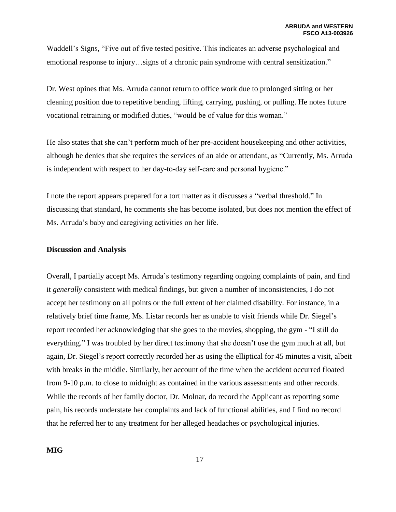Waddell's Signs, "Five out of five tested positive. This indicates an adverse psychological and emotional response to injury…signs of a chronic pain syndrome with central sensitization."

Dr. West opines that Ms. Arruda cannot return to office work due to prolonged sitting or her cleaning position due to repetitive bending, lifting, carrying, pushing, or pulling. He notes future vocational retraining or modified duties, "would be of value for this woman."

He also states that she can't perform much of her pre-accident housekeeping and other activities, although he denies that she requires the services of an aide or attendant, as "Currently, Ms. Arruda is independent with respect to her day-to-day self-care and personal hygiene."

I note the report appears prepared for a tort matter as it discusses a "verbal threshold." In discussing that standard, he comments she has become isolated, but does not mention the effect of Ms. Arruda's baby and caregiving activities on her life.

### **Discussion and Analysis**

Overall, I partially accept Ms. Arruda's testimony regarding ongoing complaints of pain, and find it *generally* consistent with medical findings, but given a number of inconsistencies, I do not accept her testimony on all points or the full extent of her claimed disability. For instance, in a relatively brief time frame, Ms. Listar records her as unable to visit friends while Dr. Siegel's report recorded her acknowledging that she goes to the movies, shopping, the gym - "I still do everything." I was troubled by her direct testimony that she doesn't use the gym much at all, but again, Dr. Siegel's report correctly recorded her as using the elliptical for 45 minutes a visit, albeit with breaks in the middle. Similarly, her account of the time when the accident occurred floated from 9-10 p.m. to close to midnight as contained in the various assessments and other records. While the records of her family doctor, Dr. Molnar, do record the Applicant as reporting some pain, his records understate her complaints and lack of functional abilities, and I find no record that he referred her to any treatment for her alleged headaches or psychological injuries.

**MIG**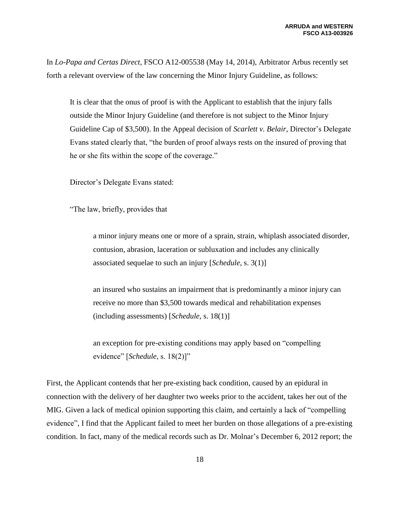In *Lo-Papa and Certas Direct*, FSCO A12-005538 (May 14, 2014), Arbitrator Arbus recently set forth a relevant overview of the law concerning the Minor Injury Guideline, as follows:

It is clear that the onus of proof is with the Applicant to establish that the injury falls outside the Minor Injury Guideline (and therefore is not subject to the Minor Injury Guideline Cap of \$3,500). In the Appeal decision of *Scarlett v. Belair*, Director's Delegate Evans stated clearly that, "the burden of proof always rests on the insured of proving that he or she fits within the scope of the coverage."

Director's Delegate Evans stated:

"The law, briefly, provides that

a minor injury means one or more of a sprain, strain, whiplash associated disorder, contusion, abrasion, laceration or subluxation and includes any clinically associated sequelae to such an injury [*Schedule*, s. 3(1)]

an insured who sustains an impairment that is predominantly a minor injury can receive no more than \$3,500 towards medical and rehabilitation expenses (including assessments) [*Schedule*, s. 18(1)]

an exception for pre-existing conditions may apply based on "compelling evidence" [*Schedule*, s. 18(2)]"

First, the Applicant contends that her pre-existing back condition, caused by an epidural in connection with the delivery of her daughter two weeks prior to the accident, takes her out of the MIG. Given a lack of medical opinion supporting this claim, and certainly a lack of "compelling evidence", I find that the Applicant failed to meet her burden on those allegations of a pre-existing condition. In fact, many of the medical records such as Dr. Molnar's December 6, 2012 report; the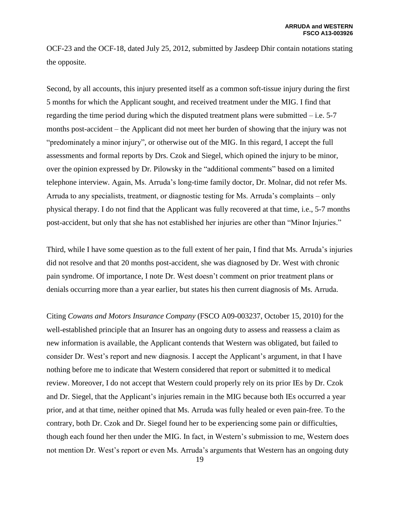OCF-23 and the OCF-18, dated July 25, 2012, submitted by Jasdeep Dhir contain notations stating the opposite.

Second, by all accounts, this injury presented itself as a common soft-tissue injury during the first 5 months for which the Applicant sought, and received treatment under the MIG. I find that regarding the time period during which the disputed treatment plans were submitted – i.e. 5-7 months post-accident – the Applicant did not meet her burden of showing that the injury was not "predominately a minor injury", or otherwise out of the MIG. In this regard, I accept the full assessments and formal reports by Drs. Czok and Siegel, which opined the injury to be minor, over the opinion expressed by Dr. Pilowsky in the "additional comments" based on a limited telephone interview. Again, Ms. Arruda's long-time family doctor, Dr. Molnar, did not refer Ms. Arruda to any specialists, treatment, or diagnostic testing for Ms. Arruda's complaints – only physical therapy. I do not find that the Applicant was fully recovered at that time, i.e., 5-7 months post-accident, but only that she has not established her injuries are other than "Minor Injuries."

Third, while I have some question as to the full extent of her pain, I find that Ms. Arruda's injuries did not resolve and that 20 months post-accident, she was diagnosed by Dr. West with chronic pain syndrome. Of importance, I note Dr. West doesn't comment on prior treatment plans or denials occurring more than a year earlier, but states his then current diagnosis of Ms. Arruda.

Citing *Cowans and Motors Insurance Company* (FSCO A09-003237, October 15, 2010) for the well-established principle that an Insurer has an ongoing duty to assess and reassess a claim as new information is available, the Applicant contends that Western was obligated, but failed to consider Dr. West's report and new diagnosis. I accept the Applicant's argument, in that I have nothing before me to indicate that Western considered that report or submitted it to medical review. Moreover, I do not accept that Western could properly rely on its prior IEs by Dr. Czok and Dr. Siegel, that the Applicant's injuries remain in the MIG because both IEs occurred a year prior, and at that time, neither opined that Ms. Arruda was fully healed or even pain-free. To the contrary, both Dr. Czok and Dr. Siegel found her to be experiencing some pain or difficulties, though each found her then under the MIG. In fact, in Western's submission to me, Western does not mention Dr. West's report or even Ms. Arruda's arguments that Western has an ongoing duty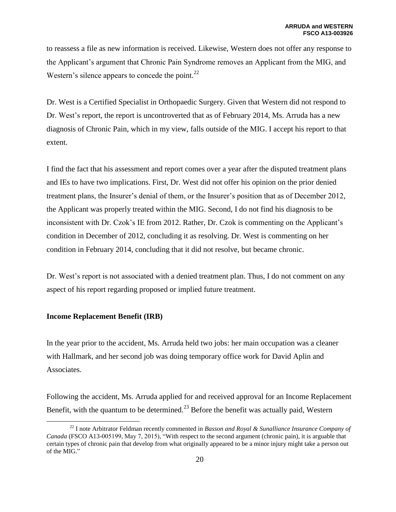to reassess a file as new information is received. Likewise, Western does not offer any response to the Applicant's argument that Chronic Pain Syndrome removes an Applicant from the MIG, and Western's silence appears to concede the point. $^{22}$ 

Dr. West is a Certified Specialist in Orthopaedic Surgery. Given that Western did not respond to Dr. West's report, the report is uncontroverted that as of February 2014, Ms. Arruda has a new diagnosis of Chronic Pain, which in my view, falls outside of the MIG. I accept his report to that extent.

I find the fact that his assessment and report comes over a year after the disputed treatment plans and IEs to have two implications. First, Dr. West did not offer his opinion on the prior denied treatment plans, the Insurer's denial of them, or the Insurer's position that as of December 2012, the Applicant was properly treated within the MIG. Second, I do not find his diagnosis to be inconsistent with Dr. Czok's IE from 2012. Rather, Dr. Czok is commenting on the Applicant's condition in December of 2012, concluding it as resolving. Dr. West is commenting on her condition in February 2014, concluding that it did not resolve, but became chronic.

Dr. West's report is not associated with a denied treatment plan. Thus, I do not comment on any aspect of his report regarding proposed or implied future treatment.

## **Income Replacement Benefit (IRB)**

 $\overline{a}$ 

In the year prior to the accident, Ms. Arruda held two jobs: her main occupation was a cleaner with Hallmark, and her second job was doing temporary office work for David Aplin and Associates.

Following the accident, Ms. Arruda applied for and received approval for an Income Replacement Benefit, with the quantum to be determined.<sup>23</sup> Before the benefit was actually paid, Western

<sup>22</sup> I note Arbitrator Feldman recently commented in *Basson and Royal & Sunalliance Insurance Company of Canada* (FSCO A13-005199, May 7, 2015), "With respect to the second argument (chronic pain), it is arguable that certain types of chronic pain that develop from what originally appeared to be a minor injury might take a person out of the MIG."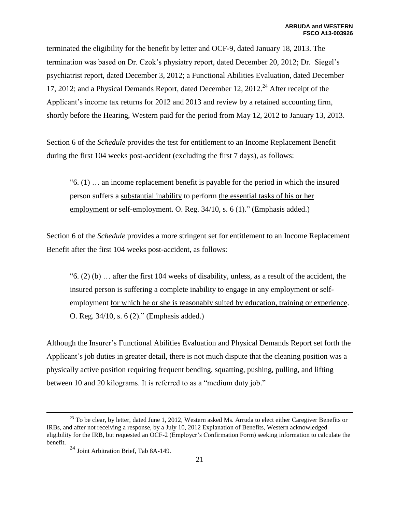terminated the eligibility for the benefit by letter and OCF-9, dated January 18, 2013. The termination was based on Dr. Czok's physiatry report, dated December 20, 2012; Dr. Siegel's psychiatrist report, dated December 3, 2012; a Functional Abilities Evaluation, dated December 17, 2012; and a Physical Demands Report, dated December 12, 2012.<sup>24</sup> After receipt of the Applicant's income tax returns for 2012 and 2013 and review by a retained accounting firm, shortly before the Hearing, Western paid for the period from May 12, 2012 to January 13, 2013.

Section 6 of the *Schedule* provides the test for entitlement to an Income Replacement Benefit during the first 104 weeks post-accident (excluding the first 7 days), as follows:

"6. (1) … an income replacement benefit is payable for the period in which the insured person suffers a substantial inability to perform the essential tasks of his or her employment or self-employment. O. Reg. 34/10, s. 6 (1)." (Emphasis added.)

Section 6 of the *Schedule* provides a more stringent set for entitlement to an Income Replacement Benefit after the first 104 weeks post-accident, as follows:

 $(2)$  (b)  $\ldots$  after the first 104 weeks of disability, unless, as a result of the accident, the insured person is suffering a complete inability to engage in any employment or selfemployment for which he or she is reasonably suited by education, training or experience. O. Reg. 34/10, s. 6 (2)." (Emphasis added.)

Although the Insurer's Functional Abilities Evaluation and Physical Demands Report set forth the Applicant's job duties in greater detail, there is not much dispute that the cleaning position was a physically active position requiring frequent bending, squatting, pushing, pulling, and lifting between 10 and 20 kilograms. It is referred to as a "medium duty job."

<sup>&</sup>lt;sup>23</sup> To be clear, by letter, dated June 1, 2012, Western asked Ms. Arruda to elect either Caregiver Benefits or IRBs, and after not receiving a response, by a July 10, 2012 Explanation of Benefits, Western acknowledged eligibility for the IRB, but requested an OCF-2 (Employer's Confirmation Form) seeking information to calculate the benefit.

<sup>24</sup> Joint Arbitration Brief, Tab 8A-149.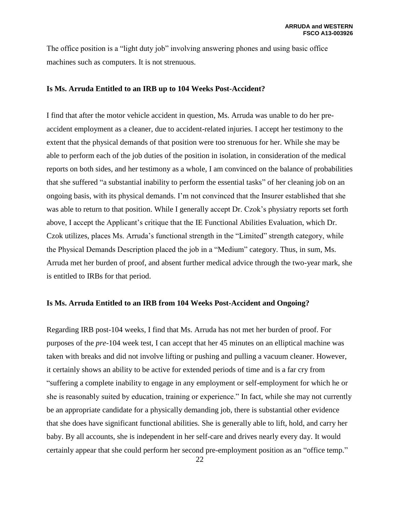The office position is a "light duty job" involving answering phones and using basic office machines such as computers. It is not strenuous.

### **Is Ms. Arruda Entitled to an IRB up to 104 Weeks Post-Accident?**

I find that after the motor vehicle accident in question, Ms. Arruda was unable to do her preaccident employment as a cleaner, due to accident-related injuries. I accept her testimony to the extent that the physical demands of that position were too strenuous for her. While she may be able to perform each of the job duties of the position in isolation, in consideration of the medical reports on both sides, and her testimony as a whole, I am convinced on the balance of probabilities that she suffered "a substantial inability to perform the essential tasks" of her cleaning job on an ongoing basis, with its physical demands. I'm not convinced that the Insurer established that she was able to return to that position. While I generally accept Dr. Czok's physiatry reports set forth above, I accept the Applicant's critique that the IE Functional Abilities Evaluation, which Dr. Czok utilizes, places Ms. Arruda's functional strength in the "Limited" strength category, while the Physical Demands Description placed the job in a "Medium" category. Thus, in sum, Ms. Arruda met her burden of proof, and absent further medical advice through the two-year mark, she is entitled to IRBs for that period.

### **Is Ms. Arruda Entitled to an IRB from 104 Weeks Post-Accident and Ongoing?**

Regarding IRB post-104 weeks, I find that Ms. Arruda has not met her burden of proof. For purposes of the *pre*-104 week test, I can accept that her 45 minutes on an elliptical machine was taken with breaks and did not involve lifting or pushing and pulling a vacuum cleaner. However, it certainly shows an ability to be active for extended periods of time and is a far cry from "suffering a complete inability to engage in any employment or self-employment for which he or she is reasonably suited by education, training or experience." In fact, while she may not currently be an appropriate candidate for a physically demanding job, there is substantial other evidence that she does have significant functional abilities. She is generally able to lift, hold, and carry her baby. By all accounts, she is independent in her self-care and drives nearly every day. It would certainly appear that she could perform her second pre-employment position as an "office temp."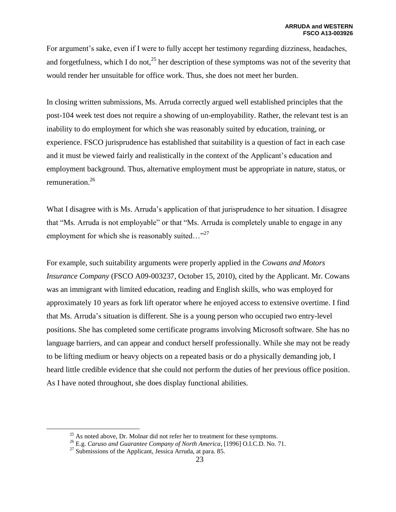For argument's sake, even if I were to fully accept her testimony regarding dizziness, headaches, and forgetfulness, which I do not,<sup>25</sup> her description of these symptoms was not of the severity that would render her unsuitable for office work. Thus, she does not meet her burden.

In closing written submissions, Ms. Arruda correctly argued well established principles that the post-104 week test does not require a showing of un-employability. Rather, the relevant test is an inability to do employment for which she was reasonably suited by education, training, or experience. FSCO jurisprudence has established that suitability is a question of fact in each case and it must be viewed fairly and realistically in the context of the Applicant's education and employment background. Thus, alternative employment must be appropriate in nature, status, or remuneration. 26

What I disagree with is Ms. Arruda's application of that jurisprudence to her situation. I disagree that "Ms. Arruda is not employable" or that "Ms. Arruda is completely unable to engage in any employment for which she is reasonably suited..."<sup>27</sup>

For example, such suitability arguments were properly applied in the *Cowans and Motors Insurance Company* (FSCO A09-003237, October 15, 2010), cited by the Applicant. Mr. Cowans was an immigrant with limited education, reading and English skills, who was employed for approximately 10 years as fork lift operator where he enjoyed access to extensive overtime. I find that Ms. Arruda's situation is different. She is a young person who occupied two entry-level positions. She has completed some certificate programs involving Microsoft software. She has no language barriers, and can appear and conduct herself professionally. While she may not be ready to be lifting medium or heavy objects on a repeated basis or do a physically demanding job, I heard little credible evidence that she could not perform the duties of her previous office position. As I have noted throughout, she does display functional abilities.

 $25$  As noted above, Dr. Molnar did not refer her to treatment for these symptoms.

<sup>26</sup> E.g. *Caruso and Guarantee Company of North America*, [1996] O.I.C.D. No. 71.

 $^{27}$  Submissions of the Applicant, Jessica Arruda, at para. 85.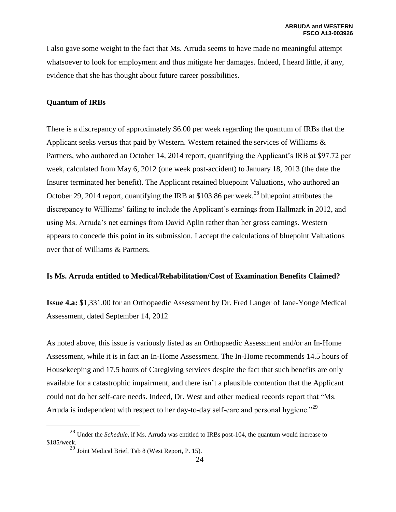I also gave some weight to the fact that Ms. Arruda seems to have made no meaningful attempt whatsoever to look for employment and thus mitigate her damages. Indeed, I heard little, if any, evidence that she has thought about future career possibilities.

## **Quantum of IRBs**

There is a discrepancy of approximately \$6.00 per week regarding the quantum of IRBs that the Applicant seeks versus that paid by Western. Western retained the services of Williams & Partners, who authored an October 14, 2014 report, quantifying the Applicant's IRB at \$97.72 per week, calculated from May 6, 2012 (one week post-accident) to January 18, 2013 (the date the Insurer terminated her benefit). The Applicant retained bluepoint Valuations, who authored an October 29, 2014 report, quantifying the IRB at \$103.86 per week.<sup>28</sup> bluepoint attributes the discrepancy to Williams' failing to include the Applicant's earnings from Hallmark in 2012, and using Ms. Arruda's net earnings from David Aplin rather than her gross earnings. Western appears to concede this point in its submission. I accept the calculations of bluepoint Valuations over that of Williams & Partners.

## **Is Ms. Arruda entitled to Medical/Rehabilitation/Cost of Examination Benefits Claimed?**

**Issue 4.a:** \$1,331.00 for an Orthopaedic Assessment by Dr. Fred Langer of Jane-Yonge Medical Assessment, dated September 14, 2012

As noted above, this issue is variously listed as an Orthopaedic Assessment and/or an In-Home Assessment, while it is in fact an In-Home Assessment. The In-Home recommends 14.5 hours of Housekeeping and 17.5 hours of Caregiving services despite the fact that such benefits are only available for a catastrophic impairment, and there isn't a plausible contention that the Applicant could not do her self-care needs. Indeed, Dr. West and other medical records report that "Ms. Arruda is independent with respect to her day-to-day self-care and personal hygiene.<sup>229</sup>

<sup>28</sup> Under the *Schedule*, if Ms. Arruda was entitled to IRBs post-104, the quantum would increase to \$185/week.

 $^{29}$  Joint Medical Brief, Tab 8 (West Report, P. 15).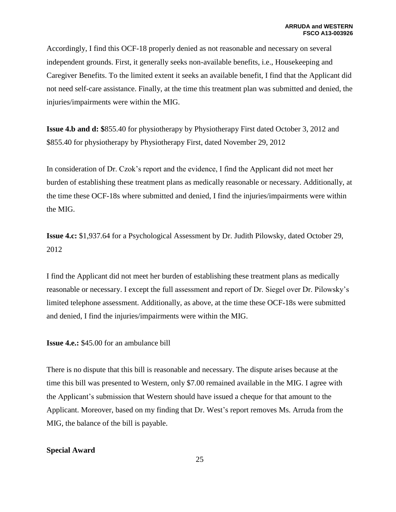Accordingly, I find this OCF-18 properly denied as not reasonable and necessary on several independent grounds. First, it generally seeks non-available benefits, i.e., Housekeeping and Caregiver Benefits. To the limited extent it seeks an available benefit, I find that the Applicant did not need self-care assistance. Finally, at the time this treatment plan was submitted and denied, the injuries/impairments were within the MIG.

**Issue 4.b and d: \$**855.40 for physiotherapy by Physiotherapy First dated October 3, 2012 and \$855.40 for physiotherapy by Physiotherapy First, dated November 29, 2012

In consideration of Dr. Czok's report and the evidence, I find the Applicant did not meet her burden of establishing these treatment plans as medically reasonable or necessary. Additionally, at the time these OCF-18s where submitted and denied, I find the injuries/impairments were within the MIG.

**Issue 4.c:** \$1,937.64 for a Psychological Assessment by Dr. Judith Pilowsky, dated October 29, 2012

I find the Applicant did not meet her burden of establishing these treatment plans as medically reasonable or necessary. I except the full assessment and report of Dr. Siegel over Dr. Pilowsky's limited telephone assessment. Additionally, as above, at the time these OCF-18s were submitted and denied, I find the injuries/impairments were within the MIG.

**Issue 4.e.:** \$45.00 for an ambulance bill

There is no dispute that this bill is reasonable and necessary. The dispute arises because at the time this bill was presented to Western, only \$7.00 remained available in the MIG. I agree with the Applicant's submission that Western should have issued a cheque for that amount to the Applicant. Moreover, based on my finding that Dr. West's report removes Ms. Arruda from the MIG, the balance of the bill is payable.

## **Special Award**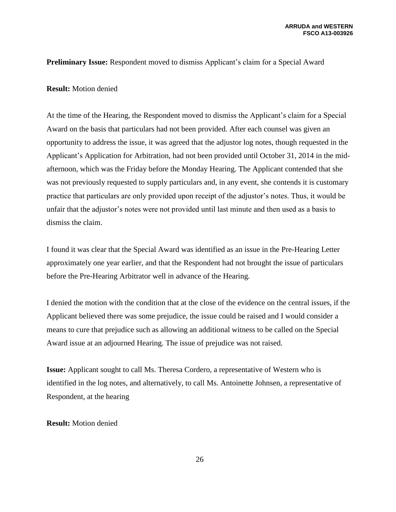### **Preliminary Issue:** Respondent moved to dismiss Applicant's claim for a Special Award

### **Result:** Motion denied

At the time of the Hearing, the Respondent moved to dismiss the Applicant's claim for a Special Award on the basis that particulars had not been provided. After each counsel was given an opportunity to address the issue, it was agreed that the adjustor log notes, though requested in the Applicant's Application for Arbitration, had not been provided until October 31, 2014 in the midafternoon, which was the Friday before the Monday Hearing. The Applicant contended that she was not previously requested to supply particulars and, in any event, she contends it is customary practice that particulars are only provided upon receipt of the adjustor's notes. Thus, it would be unfair that the adjustor's notes were not provided until last minute and then used as a basis to dismiss the claim.

I found it was clear that the Special Award was identified as an issue in the Pre-Hearing Letter approximately one year earlier, and that the Respondent had not brought the issue of particulars before the Pre-Hearing Arbitrator well in advance of the Hearing.

I denied the motion with the condition that at the close of the evidence on the central issues, if the Applicant believed there was some prejudice, the issue could be raised and I would consider a means to cure that prejudice such as allowing an additional witness to be called on the Special Award issue at an adjourned Hearing. The issue of prejudice was not raised.

**Issue:** Applicant sought to call Ms. Theresa Cordero, a representative of Western who is identified in the log notes, and alternatively, to call Ms. Antoinette Johnsen, a representative of Respondent, at the hearing

### **Result:** Motion denied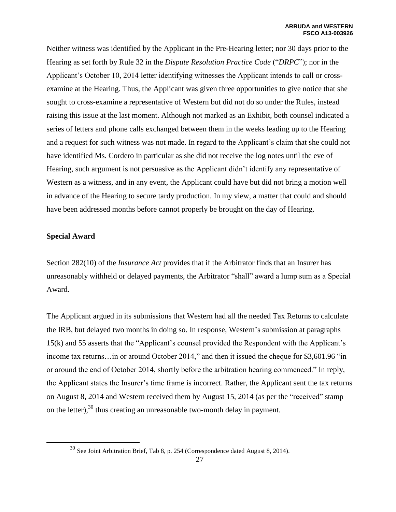Neither witness was identified by the Applicant in the Pre-Hearing letter; nor 30 days prior to the Hearing as set forth by Rule 32 in the *Dispute Resolution Practice Code* ("*DRPC*"); nor in the Applicant's October 10, 2014 letter identifying witnesses the Applicant intends to call or crossexamine at the Hearing. Thus, the Applicant was given three opportunities to give notice that she sought to cross-examine a representative of Western but did not do so under the Rules, instead raising this issue at the last moment. Although not marked as an Exhibit, both counsel indicated a series of letters and phone calls exchanged between them in the weeks leading up to the Hearing and a request for such witness was not made. In regard to the Applicant's claim that she could not have identified Ms. Cordero in particular as she did not receive the log notes until the eve of Hearing, such argument is not persuasive as the Applicant didn't identify any representative of Western as a witness, and in any event, the Applicant could have but did not bring a motion well in advance of the Hearing to secure tardy production. In my view, a matter that could and should have been addressed months before cannot properly be brought on the day of Hearing.

## **Special Award**

 $\overline{a}$ 

Section 282(10) of the *Insurance Act* provides that if the Arbitrator finds that an Insurer has unreasonably withheld or delayed payments, the Arbitrator "shall" award a lump sum as a Special Award.

The Applicant argued in its submissions that Western had all the needed Tax Returns to calculate the IRB, but delayed two months in doing so. In response, Western's submission at paragraphs 15(k) and 55 asserts that the "Applicant's counsel provided the Respondent with the Applicant's income tax returns…in or around October 2014," and then it issued the cheque for \$3,601.96 "in or around the end of October 2014, shortly before the arbitration hearing commenced." In reply, the Applicant states the Insurer's time frame is incorrect. Rather, the Applicant sent the tax returns on August 8, 2014 and Western received them by August 15, 2014 (as per the "received" stamp on the letter),<sup>30</sup> thus creating an unreasonable two-month delay in payment.

<sup>30</sup> See Joint Arbitration Brief, Tab 8, p. 254 (Correspondence dated August 8, 2014).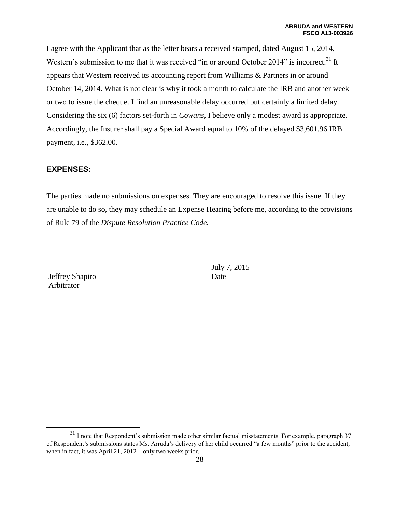I agree with the Applicant that as the letter bears a received stamped, dated August 15, 2014, Western's submission to me that it was received "in or around October 2014" is incorrect.<sup>31</sup> It appears that Western received its accounting report from Williams & Partners in or around October 14, 2014. What is not clear is why it took a month to calculate the IRB and another week or two to issue the cheque. I find an unreasonable delay occurred but certainly a limited delay. Considering the six (6) factors set-forth in *Cowans*, I believe only a modest award is appropriate. Accordingly, the Insurer shall pay a Special Award equal to 10% of the delayed \$3,601.96 IRB payment, i.e., \$362.00.

## **EXPENSES:**

The parties made no submissions on expenses. They are encouraged to resolve this issue. If they are unable to do so, they may schedule an Expense Hearing before me, according to the provisions of Rule 79 of the *Dispute Resolution Practice Code.*

Jeffrey Shapiro Arbitrator

 $\overline{a}$ 

July 7, 2015 Date

<sup>&</sup>lt;sup>31</sup> I note that Respondent's submission made other similar factual misstatements. For example, paragraph 37 of Respondent's submissions states Ms. Arruda's delivery of her child occurred "a few months" prior to the accident, when in fact, it was April 21, 2012 – only two weeks prior.